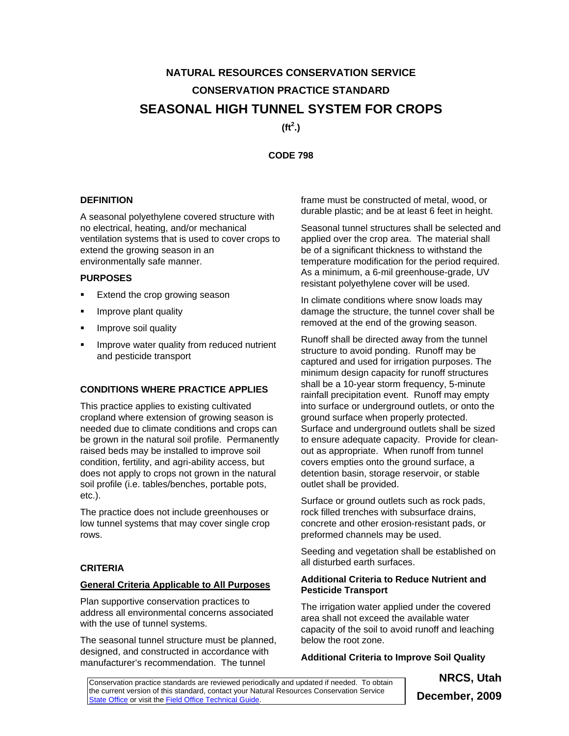# **NATURAL RESOURCES CONSERVATION SERVICE CONSERVATION PRACTICE STANDARD SEASONAL HIGH TUNNEL SYSTEM FOR CROPS**

**(ft<sup>2</sup> .)** 

**CODE 798** 

## **DEFINITION**

A seasonal polyethylene covered structure with no electrical, heating, and/or mechanical ventilation systems that is used to cover crops to extend the growing season in an environmentally safe manner.

#### **PURPOSES**

- Extend the crop growing season
- Improve plant quality
- Improve soil quality
- Improve water quality from reduced nutrient and pesticide transport

# **CONDITIONS WHERE PRACTICE APPLIES**

This practice applies to existing cultivated cropland where extension of growing season is needed due to climate conditions and crops can be grown in the natural soil profile. Permanently raised beds may be installed to improve soil condition, fertility, and agri-ability access, but does not apply to crops not grown in the natural soil profile (i.e. tables/benches, portable pots, etc.).

The practice does not include greenhouses or low tunnel systems that may cover single crop rows.

## **CRITERIA**

#### **General Criteria Applicable to All Purposes**

Plan supportive conservation practices to address all environmental concerns associated with the use of tunnel systems.

The seasonal tunnel structure must be planned, designed, and constructed in accordance with manufacturer's recommendation. The tunnel

frame must be constructed of metal, wood, or durable plastic; and be at least 6 feet in height.

Seasonal tunnel structures shall be selected and applied over the crop area. The material shall be of a significant thickness to withstand the temperature modification for the period required. As a minimum, a 6-mil greenhouse-grade, UV resistant polyethylene cover will be used.

In climate conditions where snow loads may damage the structure, the tunnel cover shall be removed at the end of the growing season.

Runoff shall be directed away from the tunnel structure to avoid ponding. Runoff may be captured and used for irrigation purposes. The minimum design capacity for runoff structures shall be a 10-year storm frequency, 5-minute rainfall precipitation event. Runoff may empty into surface or underground outlets, or onto the ground surface when properly protected. Surface and underground outlets shall be sized to ensure adequate capacity. Provide for cleanout as appropriate. When runoff from tunnel covers empties onto the ground surface, a detention basin, storage reservoir, or stable outlet shall be provided.

Surface or ground outlets such as rock pads, rock filled trenches with subsurface drains, concrete and other erosion-resistant pads, or preformed channels may be used.

Seeding and vegetation shall be established on all disturbed earth surfaces.

## **Additional Criteria to Reduce Nutrient and Pesticide Transport**

The irrigation water applied under the covered area shall not exceed the available water capacity of the soil to avoid runoff and leaching below the root zone.

# **Additional Criteria to Improve Soil Quality**

Conservation practice standards are reviewed periodically and updated if needed. To obtain the current version of this standard, contact your Natural Resources Conservation Service State Office or visit the **Field Office Technical Guide**.